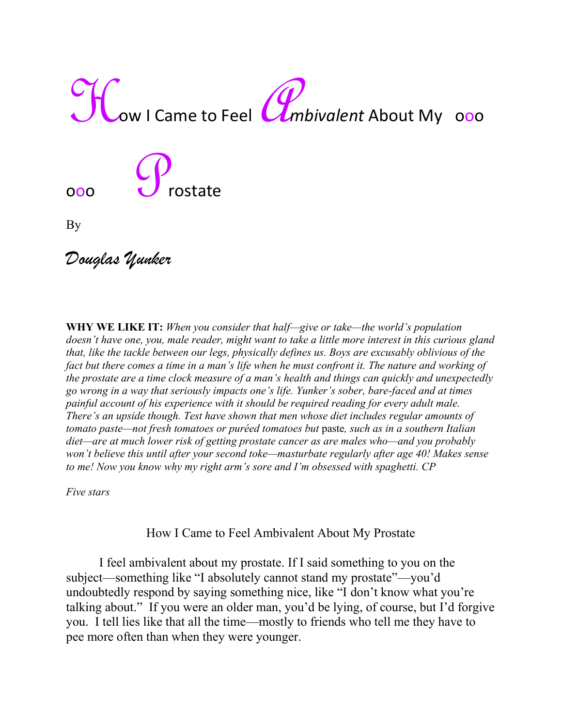

ooo de Crostate

By

*Douglas Yunker*

**WHY WE LIKE IT:** *When you consider that half—give or take—the world's population doesn't have one, you, male reader, might want to take a little more interest in this curious gland that, like the tackle between our legs, physically defines us. Boys are excusably oblivious of the fact but there comes a time in a man's life when he must confront it. The nature and working of the prostate are a time clock measure of a man's health and things can quickly and unexpectedly go wrong in a way that seriously impacts one's life. Yunker's sober, bare-faced and at times painful account of his experience with it should be required reading for every adult male. There's an upside though. Test have shown that men whose diet includes regular amounts of tomato paste—not fresh tomatoes or puréed tomatoes but* paste*, such as in a southern Italian diet—are at much lower risk of getting prostate cancer as are males who—and you probably won't believe this until after your second toke—masturbate regularly after age 40! Makes sense to me! Now you know why my right arm's sore and I'm obsessed with spaghetti. CP*

*Five stars*

How I Came to Feel Ambivalent About My Prostate

I feel ambivalent about my prostate. If I said something to you on the subject—something like "I absolutely cannot stand my prostate"—you'd undoubtedly respond by saying something nice, like "I don't know what you're talking about." If you were an older man, you'd be lying, of course, but I'd forgive you. I tell lies like that all the time—mostly to friends who tell me they have to pee more often than when they were younger.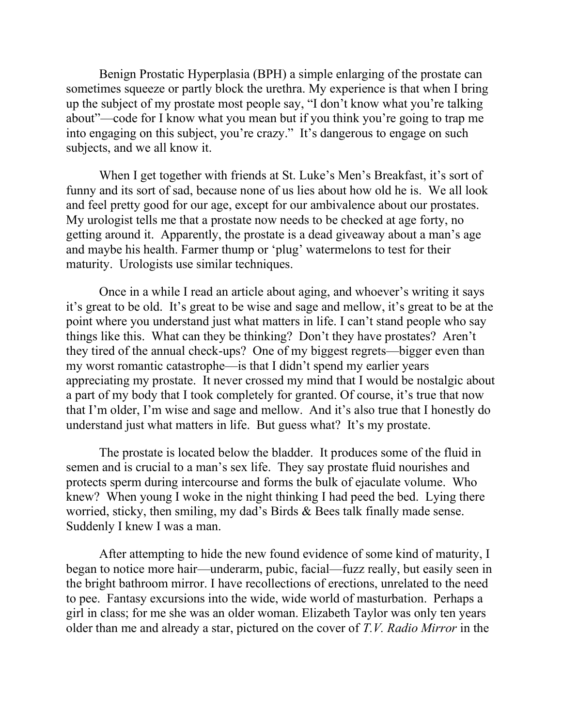Benign Prostatic Hyperplasia (BPH) a simple enlarging of the prostate can sometimes squeeze or partly block the urethra. My experience is that when I bring up the subject of my prostate most people say, "I don't know what you're talking about"—code for I know what you mean but if you think you're going to trap me into engaging on this subject, you're crazy." It's dangerous to engage on such subjects, and we all know it.

When I get together with friends at St. Luke's Men's Breakfast, it's sort of funny and its sort of sad, because none of us lies about how old he is. We all look and feel pretty good for our age, except for our ambivalence about our prostates. My urologist tells me that a prostate now needs to be checked at age forty, no getting around it. Apparently, the prostate is a dead giveaway about a man's age and maybe his health. Farmer thump or 'plug' watermelons to test for their maturity. Urologists use similar techniques.

Once in a while I read an article about aging, and whoever's writing it says it's great to be old. It's great to be wise and sage and mellow, it's great to be at the point where you understand just what matters in life. I can't stand people who say things like this. What can they be thinking? Don't they have prostates? Aren't they tired of the annual check-ups? One of my biggest regrets—bigger even than my worst romantic catastrophe—is that I didn't spend my earlier years appreciating my prostate. It never crossed my mind that I would be nostalgic about a part of my body that I took completely for granted. Of course, it's true that now that I'm older, I'm wise and sage and mellow. And it's also true that I honestly do understand just what matters in life. But guess what? It's my prostate.

The prostate is located below the bladder. It produces some of the fluid in semen and is crucial to a man's sex life. They say prostate fluid nourishes and protects sperm during intercourse and forms the bulk of ejaculate volume. Who knew? When young I woke in the night thinking I had peed the bed. Lying there worried, sticky, then smiling, my dad's Birds & Bees talk finally made sense. Suddenly I knew I was a man.

After attempting to hide the new found evidence of some kind of maturity, I began to notice more hair—underarm, pubic, facial—fuzz really, but easily seen in the bright bathroom mirror. I have recollections of erections, unrelated to the need to pee. Fantasy excursions into the wide, wide world of masturbation. Perhaps a girl in class; for me she was an older woman. Elizabeth Taylor was only ten years older than me and already a star, pictured on the cover of *T.V. Radio Mirror* in the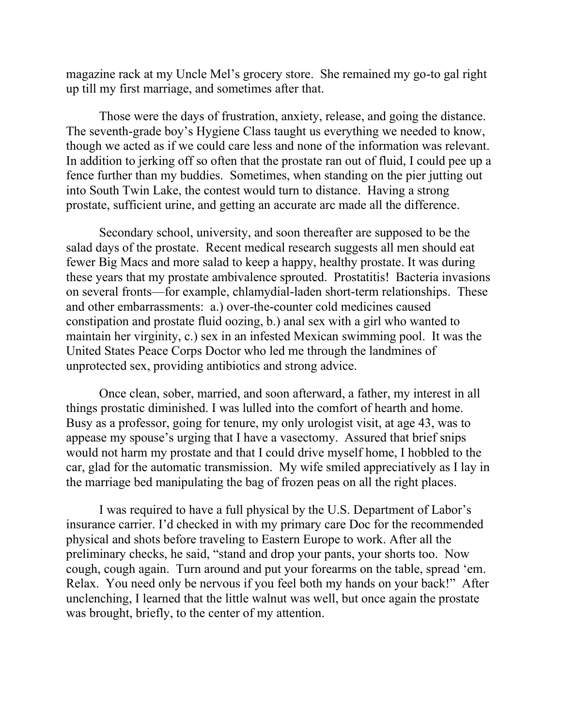magazine rack at my Uncle Mel's grocery store. She remained my go-to gal right up till my first marriage, and sometimes after that.

Those were the days of frustration, anxiety, release, and going the distance. The seventh-grade boy's Hygiene Class taught us everything we needed to know, though we acted as if we could care less and none of the information was relevant. In addition to jerking off so often that the prostate ran out of fluid, I could pee up a fence further than my buddies. Sometimes, when standing on the pier jutting out into South Twin Lake, the contest would turn to distance. Having a strong prostate, sufficient urine, and getting an accurate arc made all the difference.

Secondary school, university, and soon thereafter are supposed to be the salad days of the prostate. Recent medical research suggests all men should eat fewer Big Macs and more salad to keep a happy, healthy prostate. It was during these years that my prostate ambivalence sprouted. Prostatitis! Bacteria invasions on several fronts—for example, chlamydial-laden short-term relationships. These and other embarrassments: a.) over-the-counter cold medicines caused constipation and prostate fluid oozing, b.) anal sex with a girl who wanted to maintain her virginity, c.) sex in an infested Mexican swimming pool. It was the United States Peace Corps Doctor who led me through the landmines of unprotected sex, providing antibiotics and strong advice.

Once clean, sober, married, and soon afterward, a father, my interest in all things prostatic diminished. I was lulled into the comfort of hearth and home. Busy as a professor, going for tenure, my only urologist visit, at age 43, was to appease my spouse's urging that I have a vasectomy. Assured that brief snips would not harm my prostate and that I could drive myself home, I hobbled to the car, glad for the automatic transmission. My wife smiled appreciatively as I lay in the marriage bed manipulating the bag of frozen peas on all the right places.

I was required to have a full physical by the U.S. Department of Labor's insurance carrier. I'd checked in with my primary care Doc for the recommended physical and shots before traveling to Eastern Europe to work. After all the preliminary checks, he said, "stand and drop your pants, your shorts too. Now cough, cough again. Turn around and put your forearms on the table, spread 'em. Relax. You need only be nervous if you feel both my hands on your back!" After unclenching, I learned that the little walnut was well, but once again the prostate was brought, briefly, to the center of my attention.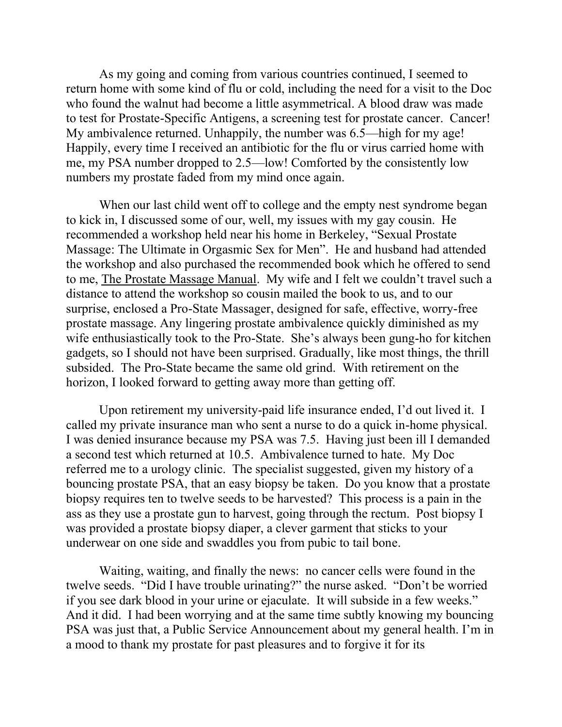As my going and coming from various countries continued, I seemed to return home with some kind of flu or cold, including the need for a visit to the Doc who found the walnut had become a little asymmetrical. A blood draw was made to test for Prostate-Specific Antigens, a screening test for prostate cancer. Cancer! My ambivalence returned. Unhappily, the number was 6.5—high for my age! Happily, every time I received an antibiotic for the flu or virus carried home with me, my PSA number dropped to 2.5—low! Comforted by the consistently low numbers my prostate faded from my mind once again.

When our last child went off to college and the empty nest syndrome began to kick in, I discussed some of our, well, my issues with my gay cousin. He recommended a workshop held near his home in Berkeley, "Sexual Prostate Massage: The Ultimate in Orgasmic Sex for Men". He and husband had attended the workshop and also purchased the recommended book which he offered to send to me, The Prostate Massage Manual. My wife and I felt we couldn't travel such a distance to attend the workshop so cousin mailed the book to us, and to our surprise, enclosed a Pro-State Massager, designed for safe, effective, worry-free prostate massage. Any lingering prostate ambivalence quickly diminished as my wife enthusiastically took to the Pro-State. She's always been gung-ho for kitchen gadgets, so I should not have been surprised. Gradually, like most things, the thrill subsided. The Pro-State became the same old grind. With retirement on the horizon, I looked forward to getting away more than getting off.

Upon retirement my university-paid life insurance ended, I'd out lived it. I called my private insurance man who sent a nurse to do a quick in-home physical. I was denied insurance because my PSA was 7.5. Having just been ill I demanded a second test which returned at 10.5. Ambivalence turned to hate. My Doc referred me to a urology clinic. The specialist suggested, given my history of a bouncing prostate PSA, that an easy biopsy be taken. Do you know that a prostate biopsy requires ten to twelve seeds to be harvested? This process is a pain in the ass as they use a prostate gun to harvest, going through the rectum. Post biopsy I was provided a prostate biopsy diaper, a clever garment that sticks to your underwear on one side and swaddles you from pubic to tail bone.

Waiting, waiting, and finally the news: no cancer cells were found in the twelve seeds. "Did I have trouble urinating?" the nurse asked. "Don't be worried if you see dark blood in your urine or ejaculate. It will subside in a few weeks." And it did. I had been worrying and at the same time subtly knowing my bouncing PSA was just that, a Public Service Announcement about my general health. I'm in a mood to thank my prostate for past pleasures and to forgive it for its